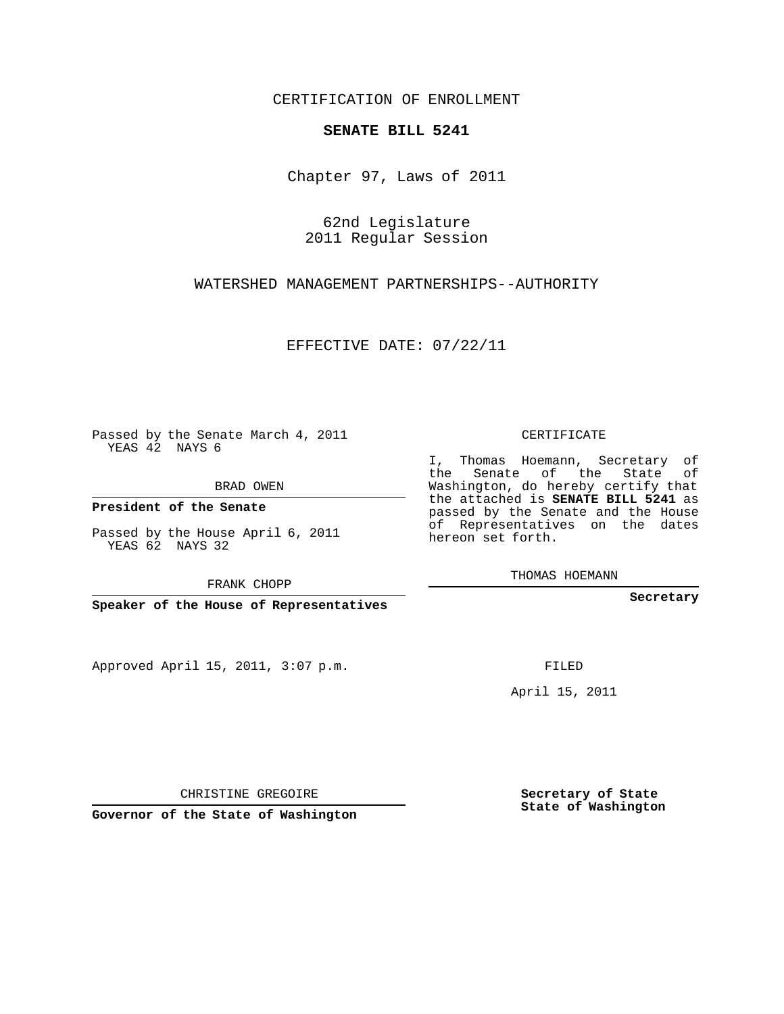CERTIFICATION OF ENROLLMENT

## **SENATE BILL 5241**

Chapter 97, Laws of 2011

62nd Legislature 2011 Regular Session

WATERSHED MANAGEMENT PARTNERSHIPS--AUTHORITY

EFFECTIVE DATE: 07/22/11

Passed by the Senate March 4, 2011 YEAS 42 NAYS 6

BRAD OWEN

**President of the Senate**

Passed by the House April 6, 2011 YEAS 62 NAYS 32

FRANK CHOPP

**Speaker of the House of Representatives**

Approved April 15, 2011, 3:07 p.m.

CERTIFICATE

I, Thomas Hoemann, Secretary of the Senate of the State of Washington, do hereby certify that the attached is **SENATE BILL 5241** as passed by the Senate and the House of Representatives on the dates hereon set forth.

THOMAS HOEMANN

**Secretary**

FILED

April 15, 2011

**Secretary of State State of Washington**

CHRISTINE GREGOIRE

**Governor of the State of Washington**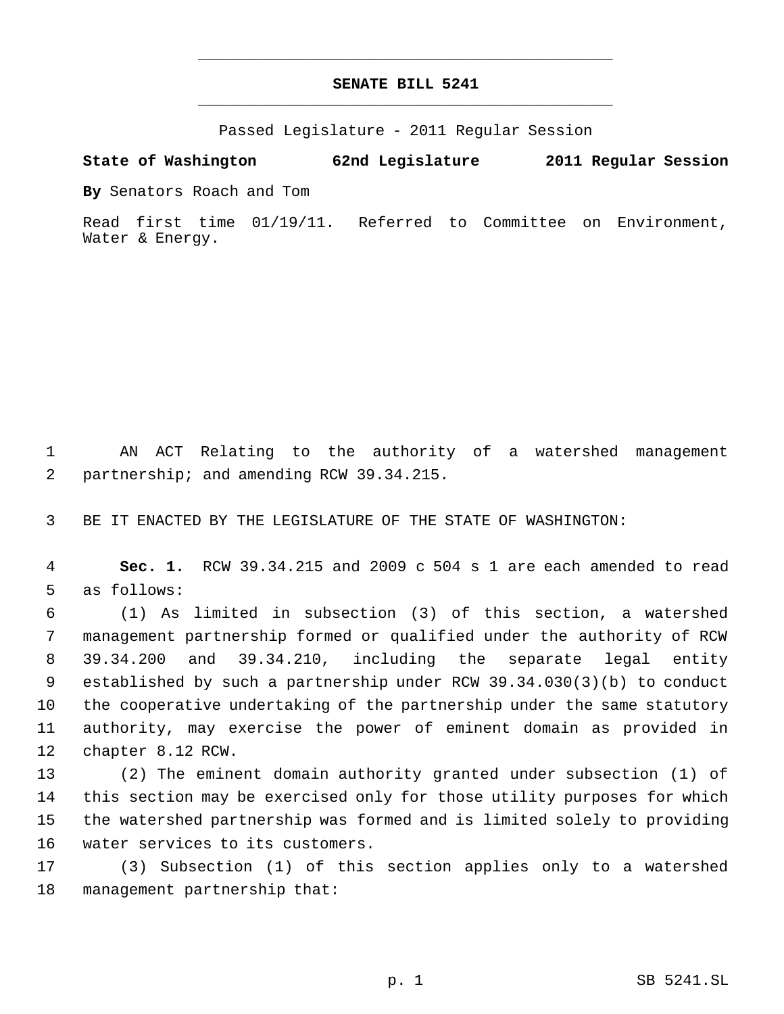## **SENATE BILL 5241** \_\_\_\_\_\_\_\_\_\_\_\_\_\_\_\_\_\_\_\_\_\_\_\_\_\_\_\_\_\_\_\_\_\_\_\_\_\_\_\_\_\_\_\_\_

\_\_\_\_\_\_\_\_\_\_\_\_\_\_\_\_\_\_\_\_\_\_\_\_\_\_\_\_\_\_\_\_\_\_\_\_\_\_\_\_\_\_\_\_\_

Passed Legislature - 2011 Regular Session

## **State of Washington 62nd Legislature 2011 Regular Session**

**By** Senators Roach and Tom

Read first time 01/19/11. Referred to Committee on Environment, Water & Energy.

 AN ACT Relating to the authority of a watershed management partnership; and amending RCW 39.34.215.

BE IT ENACTED BY THE LEGISLATURE OF THE STATE OF WASHINGTON:

 **Sec. 1.** RCW 39.34.215 and 2009 c 504 s 1 are each amended to read as follows:

 (1) As limited in subsection (3) of this section, a watershed management partnership formed or qualified under the authority of RCW 39.34.200 and 39.34.210, including the separate legal entity established by such a partnership under RCW 39.34.030(3)(b) to conduct the cooperative undertaking of the partnership under the same statutory authority, may exercise the power of eminent domain as provided in chapter 8.12 RCW.

 (2) The eminent domain authority granted under subsection (1) of this section may be exercised only for those utility purposes for which the watershed partnership was formed and is limited solely to providing water services to its customers.

 (3) Subsection (1) of this section applies only to a watershed management partnership that: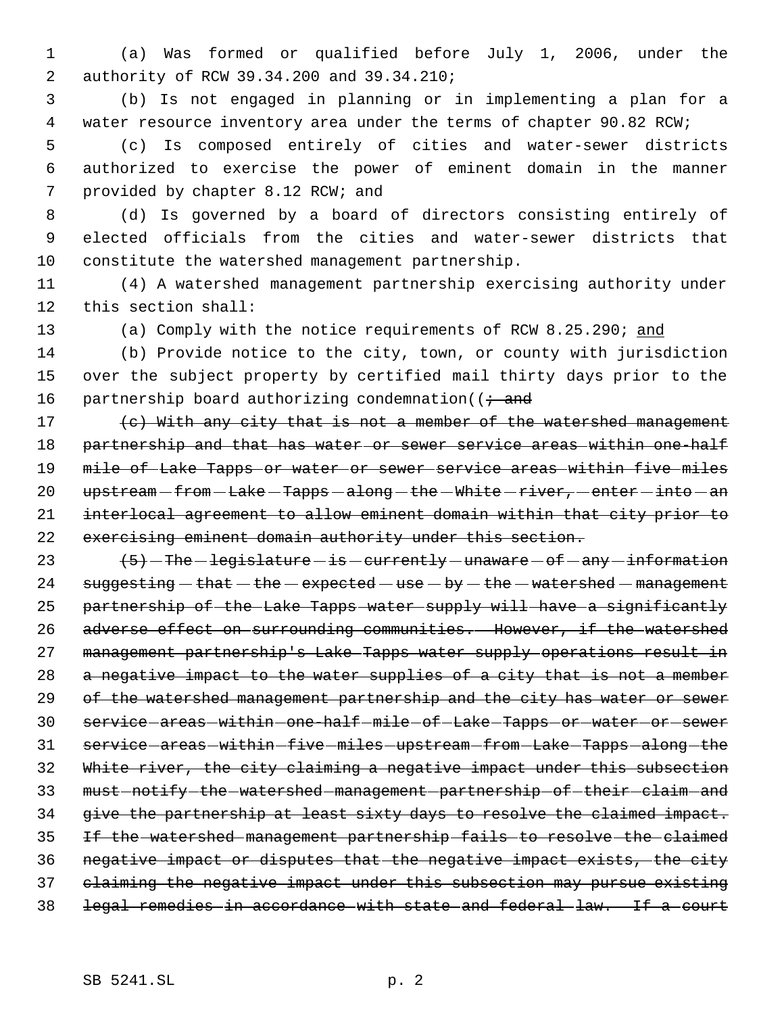1 (a) Was formed or qualified before July 1, 2006, under the 2 authority of RCW 39.34.200 and 39.34.210;

 3 (b) Is not engaged in planning or in implementing a plan for a 4 water resource inventory area under the terms of chapter 90.82 RCW;

 5 (c) Is composed entirely of cities and water-sewer districts 6 authorized to exercise the power of eminent domain in the manner 7 provided by chapter 8.12 RCW; and

 8 (d) Is governed by a board of directors consisting entirely of 9 elected officials from the cities and water-sewer districts that 10 constitute the watershed management partnership.

11 (4) A watershed management partnership exercising authority under 12 this section shall:

13 (a) Comply with the notice requirements of RCW 8.25.290; and

14 (b) Provide notice to the city, town, or county with jurisdiction 15 over the subject property by certified mail thirty days prior to the 16 partnership board authorizing condemnation( $\overline{t}$  and

17 (c) With any city that is not a member of the watershed management 18 partnership and that has water or sewer service areas within one-half 19 mile of Lake Tapps or water or sewer service areas within five miles 20 upstream - from - Lake - Tapps - along - the - White - river, - enter - into - an 21 interlocal agreement to allow eminent domain within that city prior to 22 exercising eminent domain authority under this section.

23  $(5)$  -The -legislature - is -currently -unaware - of -any -information 24  $suggesting - that - the - expected - use - by - the - watershed - management$ 25 partnership of the Lake Tapps water supply will have a significantly 26 adverse effect on surrounding communities. However, if the watershed 27 management partnership's Lake Tapps water supply operations result in 28 a negative impact to the water supplies of a city that is not a member 29 of the watershed management partnership and the city has water or sewer 30 service areas within one-half mile of Lake Tapps or water or sewer 31 service-areas-within-five-miles-upstream-from-Lake-Tapps-along-the 32 White river, the city claiming a negative impact under this subsection 33 must-notify the watershed management partnership of their claim and 34 give the partnership at least sixty days to resolve the claimed impact. 35 If the watershed management partnership fails to resolve the claimed 36 negative impact or disputes that the negative impact exists, the city 37 claiming the negative impact under this subsection may pursue existing 38 legal remedies in accordance with state and federal law. If a court